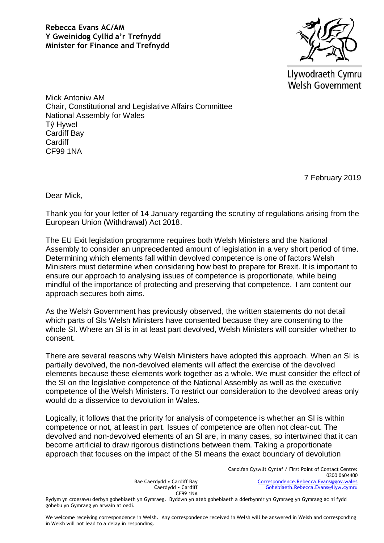

Llywodraeth Cymru **Welsh Government** 

Mick Antoniw AM Chair, Constitutional and Legislative Affairs Committee National Assembly for Wales Tŷ Hywel Cardiff Bay **Cardiff** CF99 1NA

7 February 2019

Dear Mick,

Thank you for your letter of 14 January regarding the scrutiny of regulations arising from the European Union (Withdrawal) Act 2018.

The EU Exit legislation programme requires both Welsh Ministers and the National Assembly to consider an unprecedented amount of legislation in a very short period of time. Determining which elements fall within devolved competence is one of factors Welsh Ministers must determine when considering how best to prepare for Brexit. It is important to ensure our approach to analysing issues of competence is proportionate, while being mindful of the importance of protecting and preserving that competence. I am content our approach secures both aims.

As the Welsh Government has previously observed, the written statements do not detail which parts of SIs Welsh Ministers have consented because they are consenting to the whole SI. Where an SI is in at least part devolved, Welsh Ministers will consider whether to consent.

There are several reasons why Welsh Ministers have adopted this approach. When an SI is partially devolved, the non-devolved elements will affect the exercise of the devolved elements because these elements work together as a whole. We must consider the effect of the SI on the legislative competence of the National Assembly as well as the executive competence of the Welsh Ministers. To restrict our consideration to the devolved areas only would do a disservice to devolution in Wales.

Logically, it follows that the priority for analysis of competence is whether an SI is within competence or not, at least in part. Issues of competence are often not clear-cut. The devolved and non-devolved elements of an SI are, in many cases, so intertwined that it can become artificial to draw rigorous distinctions between them. Taking a proportionate approach that focuses on the impact of the SI means the exact boundary of devolution

> Bae Caerdydd • Cardiff Bay Caerdydd • Cardiff CF99 1NA

Canolfan Cyswllt Cyntaf / First Point of Contact Centre: 0300 0604400 [Correspondence.Rebecca.Evans@gov.wales](mailto:Correspondence.Rebecca.Evans@gov.wales) [Gohebiaeth.Rebecca.Evans@llyw.cymru](mailto:Gohebiaeth.Rebecca.Evans@llyw.cymru)

Rydym yn croesawu derbyn gohebiaeth yn Gymraeg. Byddwn yn ateb gohebiaeth a dderbynnir yn Gymraeg yn Gymraeg ac ni fydd gohebu yn Gymraeg yn arwain at oedi.

We welcome receiving correspondence in Welsh. Any correspondence received in Welsh will be answered in Welsh and corresponding in Welsh will not lead to a delay in responding.